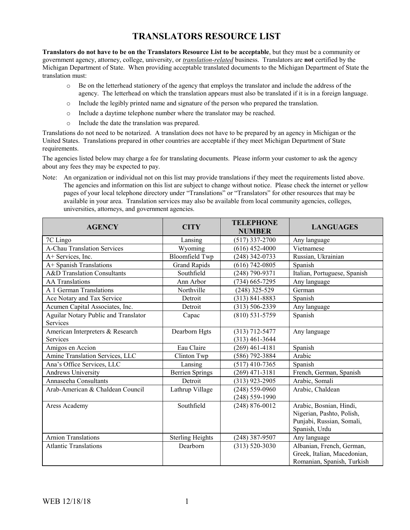## **TRANSLATORS RESOURCE LIST**

**Translators do not have to be on the Translators Resource List to be acceptable**, but they must be a community or government agency, attorney, college, university, or *translation-related* business. Translators are **not** certified by the Michigan Department of State. When providing acceptable translated documents to the Michigan Department of State the translation must:

- o Be on the letterhead stationery of the agency that employs the translator and include the address of the agency. The letterhead on which the translation appears must also be translated if it is in a foreign language.
- o Include the legibly printed name and signature of the person who prepared the translation.
- o Include a daytime telephone number where the translator may be reached.
- o Include the date the translation was prepared.

Translations do not need to be notarized. A translation does not have to be prepared by an agency in Michigan or the United States. Translations prepared in other countries are acceptable if they meet Michigan Department of State requirements.

The agencies listed below may charge a fee for translating documents. Please inform your customer to ask the agency about any fees they may be expected to pay.

Note: An organization or individual not on this list may provide translations if they meet the requirements listed above. The agencies and information on this list are subject to change without notice. Please check the internet or yellow pages of your local telephone directory under "Translations" or "Translators" for other resources that may be available in your area. Translation services may also be available from local community agencies, colleges, universities, attorneys, and government agencies.

| <b>AGENCY</b>                                           | <b>CITY</b>             | <b>TELEPHONE</b><br><b>NUMBER</b>    | <b>LANGUAGES</b>                                                                                   |
|---------------------------------------------------------|-------------------------|--------------------------------------|----------------------------------------------------------------------------------------------------|
| 7C Lingo                                                | Lansing                 | $(517)$ 337-2700                     | Any language                                                                                       |
| <b>A-Chau Translation Services</b>                      | Wyoming                 | $(616)$ 452-4000                     | Vietnamese                                                                                         |
| A+ Services, Inc.                                       | <b>Bloomfield Twp</b>   | $(248)$ 342-0733                     | Russian, Ukrainian                                                                                 |
| A+ Spanish Translations                                 | <b>Grand Rapids</b>     | $(616) 742 - 0805$                   | Spanish                                                                                            |
| A&D Translation Consultants                             | Southfield              | $(248)$ 790-9371                     | Italian, Portuguese, Spanish                                                                       |
| <b>AA</b> Translations                                  | Ann Arbor               | (734) 665-7295                       | Any language                                                                                       |
| A 1 German Translations                                 | Northville              | $(248)$ 325-529                      | German                                                                                             |
| Ace Notary and Tax Service                              | Detroit                 | $(313) 841 - 8883$                   | Spanish                                                                                            |
| Acumen Capital Associates, Inc.                         | Detroit                 | $(313) 506 - 2339$                   | Any language                                                                                       |
| Aguilar Notary Public and Translator<br><b>Services</b> | Capac                   | $(810)$ 531-5759                     | Spanish                                                                                            |
| American Interpreters & Research<br>Services            | Dearborn Hgts           | $(313)$ 712-5477<br>$(313)$ 461-3644 | Any language                                                                                       |
| Amigos en Accion                                        | Eau Claire              | $(269)$ 461-4181                     | Spanish                                                                                            |
| Amine Translation Services, LLC                         | Clinton Twp             | $(586)$ 792-3884                     | Arabic                                                                                             |
| Ana's Office Services, LLC                              | Lansing                 | $(517)$ 410-7365                     | Spanish                                                                                            |
| Andrews University                                      | <b>Berrien Springs</b>  | $(269)$ 471-3181                     | French, German, Spanish                                                                            |
| Annaseeha Consultants                                   | Detroit                 | (313) 923-2905                       | Arabic, Somali                                                                                     |
| Arab-American & Chaldean Council                        | Lathrup Village         | $(248) 559 - 0960$                   | Arabic, Chaldean                                                                                   |
|                                                         |                         | $(248) 559 - 1990$                   |                                                                                                    |
| Aress Academy                                           | Southfield              | $(248) 876 - 0012$                   | Arabic, Bosnian, Hindi,<br>Nigerian, Pashto, Polish,<br>Punjabi, Russian, Somali,<br>Spanish, Urdu |
| <b>Arnion Translations</b>                              | <b>Sterling Heights</b> | $(248)$ 387-9507                     | Any language                                                                                       |
| <b>Atlantic Translations</b>                            | Dearborn                | $(313) 520 - 3030$                   | Albanian, French, German,<br>Greek, Italian, Macedonian,<br>Romanian, Spanish, Turkish             |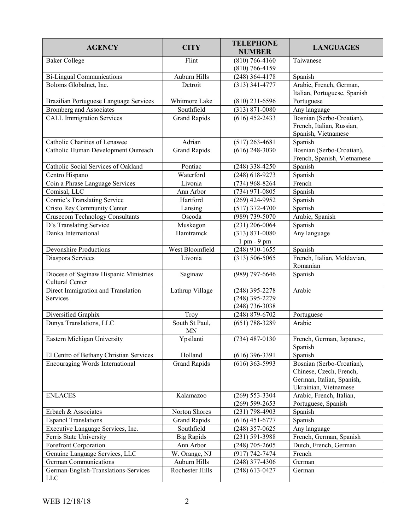| <b>AGENCY</b>                                             | <b>CITY</b>                 | <b>TELEPHONE</b><br><b>NUMBER</b>                        | <b>LANGUAGES</b>                                                                                           |
|-----------------------------------------------------------|-----------------------------|----------------------------------------------------------|------------------------------------------------------------------------------------------------------------|
| <b>Baker College</b>                                      | Flint                       | $(810)$ 766-4160<br>$(810)$ 766-4159                     | Taiwanese                                                                                                  |
| <b>Bi-Lingual Communications</b>                          | Auburn Hills                | $(248)$ 364-4178                                         | Spanish                                                                                                    |
| Boloms Globalnet, Inc.                                    | Detroit                     | $(313)$ 341-4777                                         | Arabic, French, German,<br>Italian, Portuguese, Spanish                                                    |
| Brazilian Portuguese Language Services                    | Whitmore Lake               | $(810)$ 231-6596                                         | Portuguese                                                                                                 |
| <b>Bromberg and Associates</b>                            | Southfield                  | $(313) 871 - 0080$                                       | Any language                                                                                               |
| <b>CALL Immigration Services</b>                          | <b>Grand Rapids</b>         | $(616)$ 452-2433                                         | Bosnian (Serbo-Croatian),<br>French, Italian, Russian,<br>Spanish, Vietnamese                              |
| Catholic Charities of Lenawee                             | Adrian                      | $(517)$ 263-4681                                         | Spanish                                                                                                    |
| Catholic Human Development Outreach                       | <b>Grand Rapids</b>         | $(616)$ 248-3030                                         | Bosnian (Serbo-Croatian),<br>French, Spanish, Vietnamese                                                   |
| Catholic Social Services of Oakland                       | Pontiac                     | $(248)$ 338-4250                                         | Spanish                                                                                                    |
| Centro Hispano                                            | Waterford                   | $(248)$ 618-9273                                         | Spanish                                                                                                    |
| Coin a Phrase Language Services                           | Livonia                     | $(734)$ 968-8264                                         | French                                                                                                     |
| Comisal, LLC                                              | Ann Arbor                   | $(734)$ 971-0805                                         | Spanish                                                                                                    |
| Connie's Translating Service                              | Hartford                    | $(269)$ 424-9952                                         | Spanish                                                                                                    |
| <b>Cristo Rey Community Center</b>                        | Lansing                     | $(517)$ 372-4700                                         | Spanish                                                                                                    |
| <b>Crusecom Technology Consultants</b>                    | Oscoda                      | (989) 739-5070                                           | Arabic, Spanish                                                                                            |
| D's Translating Service                                   | Muskegon                    | $(231)$ 206-0064                                         | Spanish                                                                                                    |
| Danka International                                       | Hamtramck                   | $(313) 871 - 0080$                                       | Any language                                                                                               |
|                                                           |                             | $1$ pm - $9$ pm                                          |                                                                                                            |
| <b>Devonshire Productions</b>                             | West Bloomfield             | $(248)$ 910-1655                                         | Spanish                                                                                                    |
| Diaspora Services                                         | Livonia                     | $(313) 506 - 5065$                                       | French, Italian, Moldavian,<br>Romanian                                                                    |
| Diocese of Saginaw Hispanic Ministries<br>Cultural Center | Saginaw                     | $(989)$ 797-6646                                         | Spanish                                                                                                    |
| Direct Immigration and Translation<br>Services            | Lathrup Village             | $(248)$ 395-2278<br>$(248)$ 395-2279<br>$(248)$ 736-3038 | Arabic                                                                                                     |
| Diversified Graphix                                       | Troy                        | $(248) 879 - 6702$                                       | Portuguese                                                                                                 |
| Dunya Translations, LLC                                   | South St Paul,<br><b>MN</b> | $(651) 788 - 3289$                                       | Arabic                                                                                                     |
| Eastern Michigan University                               | Ypsilanti                   | $(734)$ 487-0130                                         | French, German, Japanese,<br>Spanish                                                                       |
| El Centro of Bethany Christian Services                   | Holland                     | $(616)$ 396-3391                                         | Spanish                                                                                                    |
| Encouraging Words International                           | <b>Grand Rapids</b>         | $(616)$ 363-5993                                         | Bosnian (Serbo-Croatian),<br>Chinese, Czech, French,<br>German, Italian, Spanish,<br>Ukrainian, Vietnamese |
| <b>ENLACES</b>                                            | Kalamazoo                   | $(269)$ 553-3304<br>$(269)$ 599-2653                     | Arabic, French, Italian,<br>Portuguese, Spanish                                                            |
| Erbach & Associates                                       | Norton Shores               | $(231)$ 798-4903                                         | Spanish                                                                                                    |
| <b>Espanol Translations</b>                               | <b>Grand Rapids</b>         | $(616)$ 451-6777                                         | Spanish                                                                                                    |
| Executive Language Services, Inc.                         | Southfield                  | $(248)$ 357-0625                                         | Any language                                                                                               |
| Ferris State University                                   | <b>Big Rapids</b>           | $(231) 591 - 3988$                                       | French, German, Spanish                                                                                    |
| Forefront Corporation                                     | Ann Arbor                   | $(248)$ 705-2605                                         | Dutch, French, German                                                                                      |
| Genuine Language Services, LLC                            | W. Orange, NJ               | $(917) 742 - 7474$                                       | French                                                                                                     |
| German Communications                                     | Auburn Hills                | $(248)$ 377-4306                                         | German                                                                                                     |
| German-English-Translations-Services<br><b>LLC</b>        | Rochester Hills             | $(248)$ 613-0427                                         | German                                                                                                     |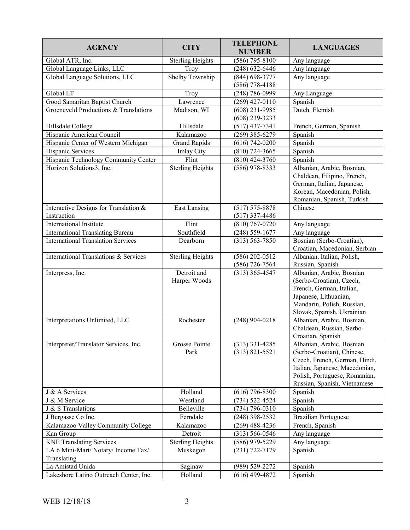| <b>AGENCY</b>                             | <b>CITY</b>             | <b>TELEPHONE</b><br><b>NUMBER</b> | <b>LANGUAGES</b>                                     |
|-------------------------------------------|-------------------------|-----------------------------------|------------------------------------------------------|
| Global ATR, Inc.                          | <b>Sterling Heights</b> | $(586)$ 795-8100                  | Any language                                         |
| Global Language Links, LLC                | Troy                    | $(248) 632 - 6446$                | Any language                                         |
| Global Language Solutions, LLC            | Shelby Township         | $(844)$ 698-3777                  | Any language                                         |
|                                           |                         | $(586)$ 778-4188                  |                                                      |
| Global LT                                 | Troy                    | $(248) 786 - 0999$                | Any Language                                         |
| Good Samaritan Baptist Church             | Lawrence                | $(269)$ 427-0110                  | Spanish                                              |
| Groeneveld Productions & Translations     | Madison, WI             | $(608)$ 231-9985                  | Dutch, Flemish                                       |
|                                           |                         | $(608)$ 239-3233                  |                                                      |
| Hillsdale College                         | Hillsdale               | $(517)$ 437-7341                  | French, German, Spanish                              |
| Hispanic American Council                 | Kalamazoo               | $(269)$ 385-6279                  | Spanish                                              |
| Hispanic Center of Western Michigan       | <b>Grand Rapids</b>     | $(616) 742 - 0200$                | Spanish                                              |
| Hispanic Services                         | Imlay City              | $(810)$ 724-3665                  | Spanish                                              |
| Hispanic Technology Community Center      | Flint                   | $(810)$ 424-3760                  | Spanish                                              |
| Horizon Solutions3, Inc.                  | <b>Sterling Heights</b> | $(586)$ 978-8333                  | Albanian, Arabic, Bosnian,                           |
|                                           |                         |                                   | Chaldean, Filipino, French,                          |
|                                           |                         |                                   | German, Italian, Japanese,                           |
|                                           |                         |                                   | Korean, Macedonian, Polish,                          |
|                                           |                         |                                   | Romanian, Spanish, Turkish                           |
| Interactive Designs for Translation &     | <b>East Lansing</b>     | $(517) 575 - 8878$                | Chinese                                              |
| Instruction                               |                         | $(517)$ 337-4486                  |                                                      |
| International Institute                   | Flint                   | $(810) 767 - 0720$                | Any language                                         |
| <b>International Translating Bureau</b>   | Southfield              | $(248) 559 - 1677$                | Any language                                         |
| <b>International Translation Services</b> | Dearborn                | $(313) 563 - 7850$                | Bosnian (Serbo-Croatian),                            |
|                                           |                         |                                   | Croatian, Macedonian, Serbian                        |
| International Translations & Services     | <b>Sterling Heights</b> | $(586)$ 202-0512                  | Albanian, Italian, Polish,                           |
|                                           |                         | $(586)$ 726-7564                  | Russian, Spanish                                     |
| Interpress, Inc.                          | Detroit and             | $(313)$ 365-4547                  | Albanian, Arabic, Bosnian                            |
|                                           | Harper Woods            |                                   | (Serbo-Croatian), Czech,<br>French, German, Italian, |
|                                           |                         |                                   | Japanese, Lithuanian,                                |
|                                           |                         |                                   | Mandarin, Polish, Russian,                           |
|                                           |                         |                                   | Slovak, Spanish, Ukrainian                           |
| Interpretations Unlimited, LLC            | Rochester               | $(248)$ 904-0218                  | Albanian, Arabic, Bosnian,                           |
|                                           |                         |                                   | Chaldean, Russian, Serbo-                            |
|                                           |                         |                                   | Croatian, Spanish                                    |
| Interpreter/Translator Services, Inc.     | Grosse Pointe           | $(313)$ 331-4285                  | Albanian, Arabic, Bosnian                            |
|                                           | Park                    | $(313) 821 - 5521$                | (Serbo-Croatian), Chinese,                           |
|                                           |                         |                                   | Czech, French, German, Hindi,                        |
|                                           |                         |                                   | Italian, Japanese, Macedonian,                       |
|                                           |                         |                                   | Polish, Portuguese, Romanian,                        |
|                                           |                         |                                   | Russian, Spanish, Vietnamese                         |
| J & A Services                            | Holland                 | $(616)$ 796-8300                  | Spanish                                              |
| J & M Service                             | Westland                | $(734) 522 - 4524$                | Spanish                                              |
| J & S Translations                        | Belleville              | $(734) 796 - 0310$                | Spanish                                              |
| J Bergasse Co Inc.                        | Ferndale                | $(248)$ 398-2532                  | <b>Brazilian Portuguese</b>                          |
| Kalamazoo Valley Community College        | Kalamazoo               | $(269)$ 488-4236                  | French, Spanish                                      |
| Kan Group                                 | Detroit                 | $(313) 566 - 0546$                | Any language                                         |
| <b>KNE Translating Services</b>           | <b>Sterling Heights</b> | $(586)$ 979-5229                  | Any language                                         |
| LA 6 Mini-Mart/ Notary/ Income Tax/       | Muskegon                | $(231) 722 - 7179$                | Spanish                                              |
| Translating                               |                         |                                   |                                                      |
| La Amistad Unida                          | Saginaw                 | (989) 529-2272                    | Spanish                                              |
| Lakeshore Latino Outreach Center, Inc.    | Holland                 | $(616)$ 499-4872                  | Spanish                                              |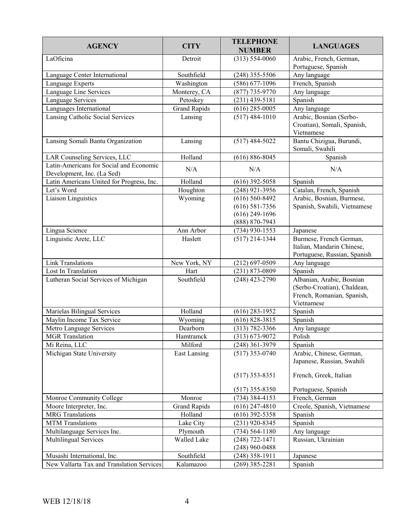| <b>AGENCY</b>                                                         | <b>CITY</b>         | <b>TELEPHONE</b><br><b>NUMBER</b>                                              | <b>LANGUAGES</b>                                                                                     |
|-----------------------------------------------------------------------|---------------------|--------------------------------------------------------------------------------|------------------------------------------------------------------------------------------------------|
| LaOficina                                                             | Detroit             | $(313) 554 - 0060$                                                             | Arabic, French, German,<br>Portuguese, Spanish                                                       |
| Language Center International                                         | Southfield          | $(248)$ 355-5506                                                               | Any language                                                                                         |
| Language Experts                                                      | Washington          | $(586)$ 677-1096                                                               | French, Spanish                                                                                      |
| Language Line Services                                                | Monterey, CA        | $(877)$ 735-9770                                                               | Any language                                                                                         |
| Language Services                                                     | Petoskey            | $(231)$ 439-5181                                                               | Spanish                                                                                              |
| Languages International                                               | <b>Grand Rapids</b> | $(616)$ 285-0005                                                               | Any language                                                                                         |
| Lansing Catholic Social Services                                      | Lansing             | $(517)$ 484-1010                                                               | Arabic, Bosnian (Serbo-<br>Croatian), Somali, Spanish,<br>Vietnamese                                 |
| Lansing Somali Bantu Organization                                     | Lansing             | $(517)$ 484-5022                                                               | Bantu Chizigua, Burundi,<br>Somali, Swahili                                                          |
| LAR Counseling Services, LLC                                          | Holland             | $(616) 886 - 8045$                                                             | Spanish                                                                                              |
| Latin-Americans for Social and Economic<br>Development, Inc. (La Sed) | N/A                 | N/A                                                                            | N/A                                                                                                  |
| Latin Americans United for Progress, Inc.                             | Holland             | $(616)$ 392-5058                                                               | Spanish                                                                                              |
| Let's Word                                                            | Houghton            | $(248)$ 921-3956                                                               | Catalan, French, Spanish                                                                             |
| Liaison Linguistics                                                   | Wyoming             | $(616) 560 - 8492$<br>$(616) 581 - 7356$<br>$(616)$ 249-1696<br>(888) 870-7943 | Arabic, Bosnian, Burmese,<br>Spanish, Swahili, Vietnamese                                            |
| Lingua Science                                                        | Ann Arbor           | $(734)$ 930-1553                                                               | Japanese                                                                                             |
| Linguistic Arete, LLC                                                 | Haslett             | $(517)$ 214-1344                                                               | Burmese, French German,<br>Italian, Mandarin Chinese,<br>Portuguese, Russian, Spanish                |
| <b>Link Translations</b>                                              | New York, NY        | $(212)$ 697-0509                                                               | Any language                                                                                         |
| Lost In Translation                                                   | Hart                | $(231) 873 - 0809$                                                             | Spanish                                                                                              |
| Lutheran Social Services of Michigan                                  | Southfield          | $(248)$ 423-2790                                                               | Albanian, Arabic, Bosnian<br>(Serbo-Croatian), Chaldean,<br>French, Romanian, Spanish,<br>Vietnamese |
| Marielas Bilingual Services                                           | Holland             | $(616)$ 283-1952                                                               | Spanish                                                                                              |
| Maylin Income Tax Service                                             | Wyoming             | $(616) 828 - 3815$                                                             | Spanish                                                                                              |
| Metro Language Services                                               | Dearborn            | $(313) 782 - 3366$                                                             | Any language                                                                                         |
| <b>MGR</b> Translation                                                | Hamtramck           | $(313) 673 - 9072$                                                             | Polish                                                                                               |
| Mi Reina, LLC                                                         | Milford             | $(248)$ 361-3979                                                               | Spanish                                                                                              |
| Michigan State University                                             | <b>East Lansing</b> | $(517)$ 353-0740<br>$(517)$ 353-8351                                           | Arabic, Chinese, German,<br>Japanese, Russian, Swahili<br>French, Greek, Italian                     |
|                                                                       |                     | $(517)$ 355-8350                                                               | Portuguese, Spanish                                                                                  |
| Monroe Community College                                              | Monroe              | $(734)$ 384-4153                                                               | French, German                                                                                       |
| Moore Interpreter, Inc.                                               | <b>Grand Rapids</b> | $(616)$ 247-4810                                                               | Creole, Spanish, Vietnamese                                                                          |
| <b>MRG</b> Translations                                               | Holland             | $(616)$ 392-5358                                                               | Spanish                                                                                              |
| <b>MTM</b> Translations                                               | Lake City           | $(231)$ 920-8345                                                               | Spanish                                                                                              |
| Multilanguage Services Inc.                                           | Plymouth            | $(734) 564 - 1180$                                                             | Any language                                                                                         |
| Multilingual Services                                                 | Walled Lake         | $(248)$ 722-1471<br>$(248)$ 960-0488                                           | Russian, Ukrainian                                                                                   |
| Musashi International, Inc.                                           | Southfield          | $(248)$ 358-1911                                                               | Japanese                                                                                             |
| New Vallarta Tax and Translation Services                             | Kalamazoo           | $(269)$ 385-2281                                                               | Spanish                                                                                              |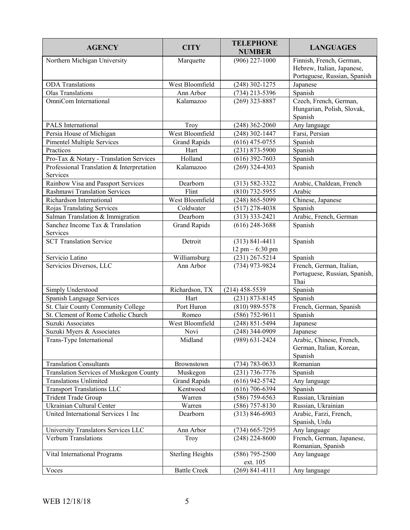| <b>AGENCY</b>                                         | <b>CITY</b>             | <b>TELEPHONE</b><br><b>NUMBER</b>         | <b>LANGUAGES</b>                                                  |
|-------------------------------------------------------|-------------------------|-------------------------------------------|-------------------------------------------------------------------|
| Northern Michigan University                          | Marquette               | $(906)$ 227-1000                          | Finnish, French, German,<br>Hebrew, Italian, Japanese,            |
|                                                       |                         |                                           | Portuguese, Russian, Spanish                                      |
| <b>ODA</b> Translations                               | West Bloomfield         | $(248)$ 302-1275                          | Japanese                                                          |
| <b>Olas Translations</b>                              | Ann Arbor               | $(734)$ 213-5396                          | Spanish                                                           |
| OmniCom International                                 | Kalamazoo               | $(269)$ 323-8887                          | Czech, French, German,<br>Hungarian, Polish, Slovak,<br>Spanish   |
| PALS International                                    | Troy                    | $(248)$ 362-2060                          | Any language                                                      |
| Persia House of Michigan                              | West Bloomfield         | $(248)$ 302-1447                          | Farsi, Persian                                                    |
| <b>Pimentel Multiple Services</b>                     | <b>Grand Rapids</b>     | $(616)$ 475-0755                          | Spanish                                                           |
| Practicos                                             | Hart                    | $(231) 873 - 5900$                        | Spanish                                                           |
| Pro-Tax & Notary - Translation Services               | Holland                 | $(616)$ 392-7603                          | Spanish                                                           |
| Professional Translation & Interpretation<br>Services | Kalamazoo               | $(269)$ 324-4303                          | Spanish                                                           |
| Rainbow Visa and Passport Services                    | Dearborn                | $(313) 582 - 3322$                        | Arabic, Chaldean, French                                          |
| Rashmawi Translation Services                         | Flint                   | $(810)$ 732-5955                          | Arabic                                                            |
| Richardson International                              | West Bloomfield         | $(248) 865 - 5099$                        | Chinese, Japanese                                                 |
| Rojas Translating Services                            | Coldwater               | $(517)$ 278-4038                          | Spanish                                                           |
| Salman Translation & Immigration                      | Dearborn                | $(313)$ 333-2421                          | Arabic, French, German                                            |
| Sanchez Income Tax & Translation<br>Services          | <b>Grand Rapids</b>     | $(616)$ 248-3688                          | Spanish                                                           |
| <b>SCT Translation Service</b>                        | Detroit                 | $(313) 841 - 4411$<br>$12$ pm $- 6:30$ pm | Spanish                                                           |
| Servicio Latino                                       | Williamsburg            | $(231)$ 267-5214                          | Spanish                                                           |
| Servicios Diversos, LLC                               | Ann Arbor               | (734) 973-9824                            | French, German, Italian,<br>Portuguese, Russian, Spanish,<br>Thai |
| Simply Understood                                     | Richardson, TX          | $(214)$ 458-5539                          | Spanish                                                           |
| Spanish Language Services                             | Hart                    | $(231) 873 - 8145$                        | Spanish                                                           |
| St. Clair County Community College                    | Port Huron              | $(810)$ 989-5578                          | French, German, Spanish                                           |
| St. Clement of Rome Catholic Church                   | Romeo                   | $(586)$ 752-9611                          | Spanish                                                           |
| Suzuki Associates                                     | West Bloomfield         | $(248) 851 - 5494$                        | Japanese                                                          |
| Suzuki Myers & Associates                             | Novi                    | $(248)$ 344-0909                          | Japanese                                                          |
| Trans-Type International                              | Midland                 | $(989) 631 - 2424$                        | Arabic, Chinese, French,<br>German, Italian, Korean,<br>Spanish   |
| <b>Translation Consultants</b>                        | Brownstown              | $(734) 783 - 0633$                        | Romanian                                                          |
| <b>Translation Services of Muskegon County</b>        | Muskegon                | $(231) 736 - 7776$                        | Spanish                                                           |
| <b>Translations Unlimited</b>                         | <b>Grand Rapids</b>     | $(616)$ 942-5742                          | Any language                                                      |
| <b>Transport Translations LLC</b>                     | Kentwood                | $(616)$ 706-6394                          | Spanish                                                           |
| Trident Trade Group                                   | Warren                  | $(586)$ 759-6563                          | Russian, Ukrainian                                                |
| Ukrainian Cultural Center                             | Warren                  | $(586)$ 757-8130                          | Russian, Ukrainian                                                |
| United International Services 1 Inc                   | Dearborn                | $(313) 846 - 6903$                        | Arabic, Farzi, French,<br>Spanish, Urdu                           |
| University Translators Services LLC                   | Ann Arbor               | $(734)$ 665-7295                          | Any language                                                      |
| <b>Verbum Translations</b>                            | Troy                    | $(248)$ 224-8600                          | French, German, Japanese,<br>Romanian, Spanish                    |
| Vital International Programs                          | <b>Sterling Heights</b> | $(586)$ 795-2500<br>ext. 105              | Any language                                                      |
| Voces                                                 | <b>Battle Creek</b>     | $(269)$ 841-4111                          | Any language                                                      |